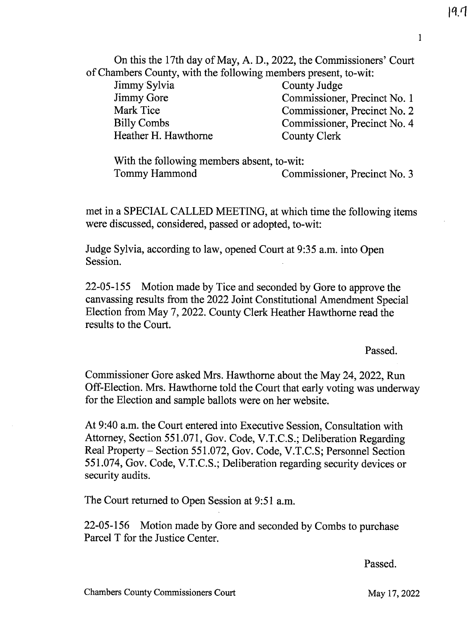$19.7$ 

On this the 17th day of May, A. D., 2022, the Commissioners' Court of Chambers County, with the following members present, to-wit:

Jimmy Sylvia Jimmy Gore Mark Tice Billy Combs Heather H. Hawthorne County Judge Commissioner, Precinct No. 1 Commissioner, Precinct No. 2 Commissioner, Precinct No. 4 County Clerk

With the following members absent, to-wit:<br>Tommy Hammond Com Commissioner, Precinct No. 3

met in a SPECIAL CALLED MEETING, at which time the following items were discussed, considered, passed or adopted, to-wit:

Judge Sylvia, according to law, opened Court at 9:35 a.m. into Open Session.

22-05-155 Motion made by Tice and seconded by Gore to approve the canvassing results from the 2022 Joint Constitutional Amendment Special Election from May 7, 2022. County Clerk Heather Hawthorne read the results to the Court.

Passed.

Commissioner Gore asked Mrs. Hawthorne about the May 24, 2022, Run Off-Election. Mrs. Hawthorne told the Court that early voting was underway for the Election and sample ballots were on her website.

At 9:40 a.m. the Court entered into Executive Session, Consultation with Attorney, Section 551.071, Gov. Code, V.T.C.S.; Deliberation Regarding Real Property — Section 551.072, Gov. Code, V.T.C.S; Personnel Section 551.074, Gov. Code, V.T.C.S.; Deliberation regarding security devices or security audits.

The Court returned to Open Session at 9:51 a.m.

22-05-156 Motion made by Gore and seconded by Combs to purchase Parcel T for the Justice Center.

Passed.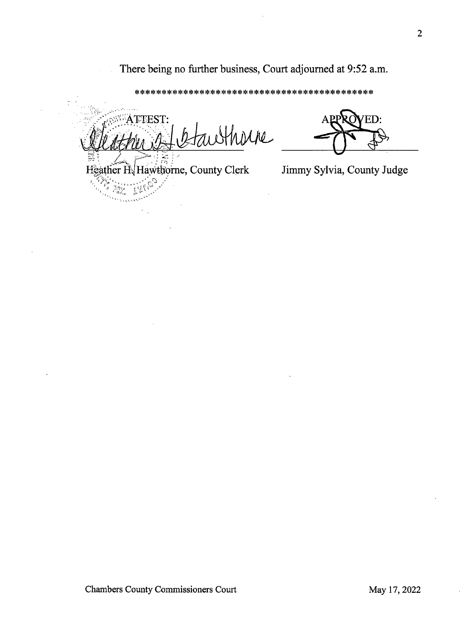There being no further business, Court adjourned at 9:52 a.m.

\*\*\*\*\*\*\*\*\*\*\*\*\*\*\*\*\*\*\*\*\*\*\*\*\*\*\*\*\*\*\*\*\*\*\*\*\*\*\*\*\*\*\*\*

 $\circ$ <sup>N</sup> ATTEST: Hhorne

Heather H. Hawthorne, County Clerk

 $\frac{2}{3}$ and the second

ED:

Jimmy Sylvia, County Judge